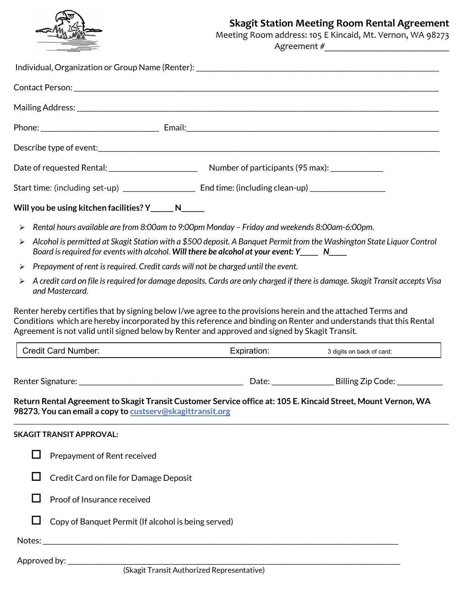

# **Skagit Station Meeting Room Rental Agreement**

 Meeting Room address: 105 E Kincaid, Mt. Vernon, WA 98273 Agreement #\_\_\_\_\_\_\_\_\_\_\_\_\_\_\_\_\_\_\_\_\_\_\_\_\_\_\_

| Individual, Organization or Group Name (Renter): ________________________________                                                                                                                                                                                                                                                                                 |                                            |                           |
|-------------------------------------------------------------------------------------------------------------------------------------------------------------------------------------------------------------------------------------------------------------------------------------------------------------------------------------------------------------------|--------------------------------------------|---------------------------|
|                                                                                                                                                                                                                                                                                                                                                                   |                                            |                           |
|                                                                                                                                                                                                                                                                                                                                                                   |                                            |                           |
|                                                                                                                                                                                                                                                                                                                                                                   |                                            |                           |
|                                                                                                                                                                                                                                                                                                                                                                   |                                            |                           |
|                                                                                                                                                                                                                                                                                                                                                                   |                                            |                           |
|                                                                                                                                                                                                                                                                                                                                                                   |                                            |                           |
| Will you be using kitchen facilities? Y______ N_____                                                                                                                                                                                                                                                                                                              |                                            |                           |
| Rental hours available are from 8:00am to 9:00pm Monday - Friday and weekends 8:00am-6:00pm.<br>$\blacktriangleright$                                                                                                                                                                                                                                             |                                            |                           |
| Alcohol is permitted at Skagit Station with a \$500 deposit. A Banquet Permit from the Washington State Liquor Control<br>$\blacktriangleright$<br>Board is required for events with alcohol. Will there be alcohol at your event: Y_____ N____                                                                                                                   |                                            |                           |
| Prepayment of rent is required. Credit cards will not be charged until the event.<br>$\blacktriangleright$                                                                                                                                                                                                                                                        |                                            |                           |
| A credit card on file is required for damage deposits. Cards are only charged if there is damage. Skagit Transit accepts Visa<br>≻<br>and Mastercard.                                                                                                                                                                                                             |                                            |                           |
| Renter hereby certifies that by signing below I/we agree to the provisions herein and the attached Terms and<br>Conditions which are hereby incorporated by this reference and binding on Renter and understands that this Rental<br>Agreement is not valid until signed below by Renter and approved and signed by Skagit Transit.<br><b>Credit Card Number:</b> | Expiration:                                | 3 digits on back of card: |
|                                                                                                                                                                                                                                                                                                                                                                   |                                            |                           |
| Return Rental Agreement to Skagit Transit Customer Service office at: 105 E. Kincaid Street, Mount Vernon, WA<br>98273. You can email a copy to custserv@skagittransit.org                                                                                                                                                                                        |                                            |                           |
| <b>SKAGIT TRANSIT APPROVAL:</b>                                                                                                                                                                                                                                                                                                                                   |                                            |                           |
| $\mathbf{I}$<br>Prepayment of Rent received                                                                                                                                                                                                                                                                                                                       |                                            |                           |
| H<br>Credit Card on file for Damage Deposit                                                                                                                                                                                                                                                                                                                       |                                            |                           |
| Proof of Insurance received                                                                                                                                                                                                                                                                                                                                       |                                            |                           |
| Copy of Banquet Permit (If alcohol is being served)                                                                                                                                                                                                                                                                                                               |                                            |                           |
|                                                                                                                                                                                                                                                                                                                                                                   |                                            |                           |
| Approved by: _________________                                                                                                                                                                                                                                                                                                                                    | (Skagit Transit Authorized Representative) |                           |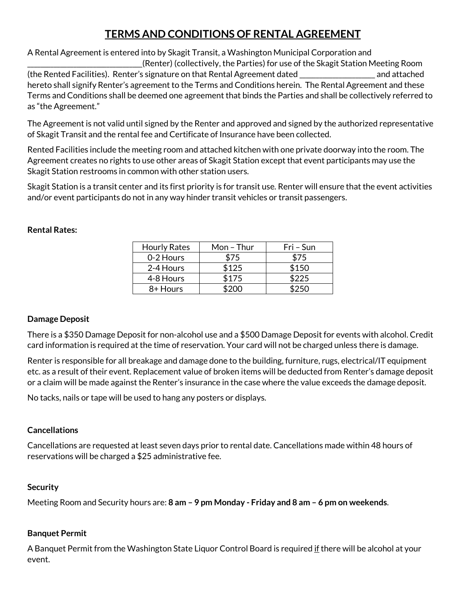# **TERMS AND CONDITIONS OF RENTAL AGREEMENT**

A Rental Agreement is entered into by Skagit Transit, a Washington Municipal Corporation and

\_\_\_\_\_\_\_\_\_\_\_\_\_\_\_\_\_\_\_\_\_\_\_\_\_\_\_\_\_\_\_\_\_\_\_(Renter) (collectively, the Parties) for use of the Skagit Station Meeting Room (the Rented Facilities). Renter's signature on that Rental Agreement dated \_\_\_\_\_\_\_\_\_\_\_\_\_\_\_\_\_\_\_\_\_\_\_ and attached hereto shall signify Renter's agreement to the Terms and Conditions herein. The Rental Agreement and these Terms and Conditions shall be deemed one agreement that binds the Parties and shall be collectively referred to as "the Agreement."

The Agreement is not valid until signed by the Renter and approved and signed by the authorized representative of Skagit Transit and the rental fee and Certificate of Insurance have been collected.

Rented Facilities include the meeting room and attached kitchen with one private doorway into the room. The Agreement creates no rights to use other areas of Skagit Station except that event participants may use the Skagit Station restrooms in common with other station users.

Skagit Station is a transit center and its first priority is for transit use. Renter will ensure that the event activities and/or event participants do not in any way hinder transit vehicles or transit passengers.

#### **Rental Rates:**

| <b>Hourly Rates</b> | Mon-Thur | Fri – Sun |
|---------------------|----------|-----------|
| 0-2 Hours           | \$75     | \$75      |
| 2-4 Hours           | \$125    | \$150     |
| 4-8 Hours           | \$175    | \$225     |
| 8+ Hours            |          |           |

## **Damage Deposit**

There is a \$350 Damage Deposit for non-alcohol use and a \$500 Damage Deposit for events with alcohol. Credit card information is required at the time of reservation. Your card will not be charged unless there is damage.

Renter is responsible for all breakage and damage done to the building, furniture, rugs, electrical/IT equipment etc. as a result of their event. Replacement value of broken items will be deducted from Renter's damage deposit or a claim will be made against the Renter's insurance in the case where the value exceeds the damage deposit.

No tacks, nails or tape will be used to hang any posters or displays.

## **Cancellations**

Cancellations are requested at least seven days prior to rental date. Cancellations made within 48 hours of reservations will be charged a \$25 administrative fee.

## **Security**

Meeting Room and Security hours are: **8 am – 9 pm Monday - Friday and 8 am – 6 pm on weekends**.

## **Banquet Permit**

A Banquet Permit from the Washington State Liquor Control Board is required if there will be alcohol at your event.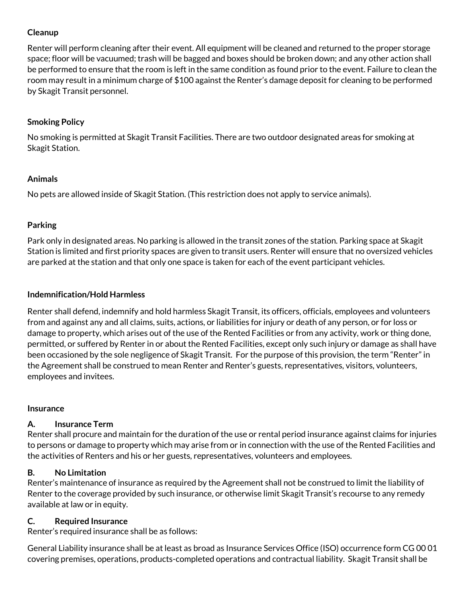## **Cleanup**

Renter will perform cleaning after their event. All equipment will be cleaned and returned to the proper storage space; floor will be vacuumed; trash will be bagged and boxes should be broken down; and any other action shall be performed to ensure that the room is left in the same condition as found prior to the event. Failure to clean the room may result in a minimum charge of \$100 against the Renter's damage deposit for cleaning to be performed by Skagit Transit personnel.

# **Smoking Policy**

No smoking is permitted at Skagit Transit Facilities. There are two outdoor designated areas for smoking at Skagit Station.

## **Animals**

No pets are allowed inside of Skagit Station. (This restriction does not apply to service animals).

# **Parking**

Park only in designated areas. No parking is allowed in the transit zones of the station. Parking space at Skagit Station is limited and first priority spaces are given to transit users. Renter will ensure that no oversized vehicles are parked at the station and that only one space is taken for each of the event participant vehicles.

# **Indemnification/Hold Harmless**

Renter shall defend, indemnify and hold harmless Skagit Transit, its officers, officials, employees and volunteers from and against any and all claims, suits, actions, or liabilities for injury or death of any person, or for loss or damage to property, which arises out of the use of the Rented Facilities or from any activity, work or thing done, permitted, or suffered by Renter in or about the Rented Facilities, except only such injury or damage as shall have been occasioned by the sole negligence of Skagit Transit. For the purpose of this provision, the term "Renter" in the Agreement shall be construed to mean Renter and Renter's guests, representatives, visitors, volunteers, employees and invitees.

## **Insurance**

# **A. Insurance Term**

Renter shall procure and maintain for the duration of the use or rental period insurance against claims for injuries to persons or damage to property which may arise from or in connection with the use of the Rented Facilities and the activities of Renters and his or her guests, representatives, volunteers and employees.

## **B. No Limitation**

Renter's maintenance of insurance as required by the Agreement shall not be construed to limit the liability of Renter to the coverage provided by such insurance, or otherwise limit Skagit Transit's recourse to any remedy available at law or in equity.

## **C. Required Insurance**

Renter's required insurance shall be as follows:

General Liability insurance shall be at least as broad as Insurance Services Office (ISO) occurrence form CG 00 01 covering premises, operations, products-completed operations and contractual liability. Skagit Transit shall be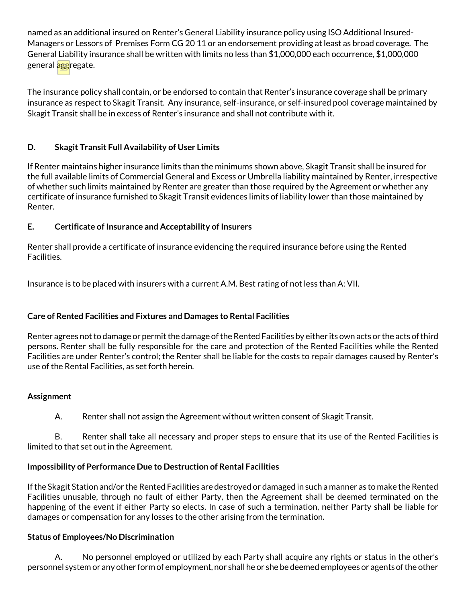named as an additional insured on Renter's General Liability insurance policy using ISO Additional Insured-Managers or Lessors of Premises Form CG 20 11 or an endorsement providing at least as broad coverage. The General Liability insurance shall be written with limits no less than \$1,000,000 each occurrence, \$1,000,000 general **agg**regate.

The insurance policy shall contain, or be endorsed to contain that Renter's insurance coverage shall be primary insurance as respect to Skagit Transit. Any insurance, self-insurance, or self-insured pool coverage maintained by Skagit Transit shall be in excess of Renter's insurance and shall not contribute with it.

# **D. Skagit Transit Full Availability of User Limits**

If Renter maintains higher insurance limits than the minimums shown above, Skagit Transit shall be insured for the full available limits of Commercial General and Excess or Umbrella liability maintained by Renter, irrespective of whether such limits maintained by Renter are greater than those required by the Agreement or whether any certificate of insurance furnished to Skagit Transit evidences limits of liability lower than those maintained by Renter.

# **E. Certificate of Insurance and Acceptability of Insurers**

Renter shall provide a certificate of insurance evidencing the required insurance before using the Rented Facilities.

Insurance is to be placed with insurers with a current A.M. Best rating of not less than A: VII.

# **Care of Rented Facilities and Fixtures and Damages to Rental Facilities**

Renter agrees not to damage or permit the damage of the Rented Facilities by either its own acts or the acts of third persons. Renter shall be fully responsible for the care and protection of the Rented Facilities while the Rented Facilities are under Renter's control; the Renter shall be liable for the costs to repair damages caused by Renter's use of the Rental Facilities, as set forth herein.

## **Assignment**

A. Renter shall not assign the Agreement without written consent of Skagit Transit.

B. Renter shall take all necessary and proper steps to ensure that its use of the Rented Facilities is limited to that set out in the Agreement.

# **Impossibility of Performance Due to Destruction of Rental Facilities**

If the Skagit Station and/or the Rented Facilities are destroyed or damaged in such a manner as to make the Rented Facilities unusable, through no fault of either Party, then the Agreement shall be deemed terminated on the happening of the event if either Party so elects. In case of such a termination, neither Party shall be liable for damages or compensation for any losses to the other arising from the termination.

## **Status of Employees/No Discrimination**

A. No personnel employed or utilized by each Party shall acquire any rights or status in the other's personnel system or any other form of employment, nor shall he or she be deemed employees or agents of the other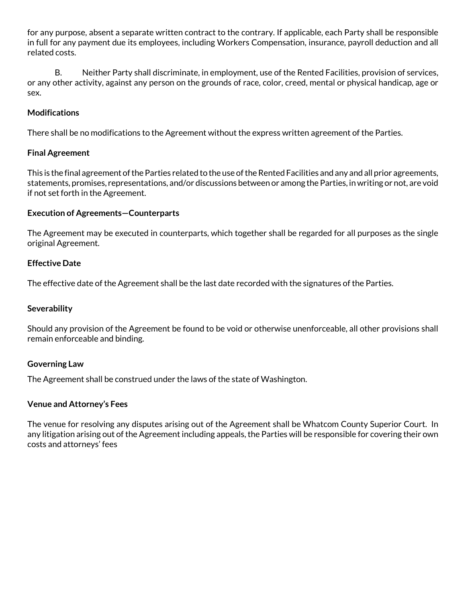for any purpose, absent a separate written contract to the contrary. If applicable, each Party shall be responsible in full for any payment due its employees, including Workers Compensation, insurance, payroll deduction and all related costs.

B. Neither Party shall discriminate, in employment, use of the Rented Facilities, provision of services, or any other activity, against any person on the grounds of race, color, creed, mental or physical handicap, age or sex.

#### **Modifications**

There shall be no modifications to the Agreement without the express written agreement of the Parties.

#### **Final Agreement**

This is the final agreement of the Parties related to the use of the Rented Facilities and any and all prior agreements, statements, promises, representations, and/or discussions between or among the Parties, in writing or not, are void if not set forth in the Agreement.

#### **Execution of Agreements—Counterparts**

The Agreement may be executed in counterparts, which together shall be regarded for all purposes as the single original Agreement.

#### **Effective Date**

The effective date of the Agreement shall be the last date recorded with the signatures of the Parties.

#### **Severability**

Should any provision of the Agreement be found to be void or otherwise unenforceable, all other provisions shall remain enforceable and binding.

#### **Governing Law**

The Agreement shall be construed under the laws of the state of Washington.

#### **Venue and Attorney's Fees**

The venue for resolving any disputes arising out of the Agreement shall be Whatcom County Superior Court. In any litigation arising out of the Agreement including appeals, the Parties will be responsible for covering their own costs and attorneys' fees